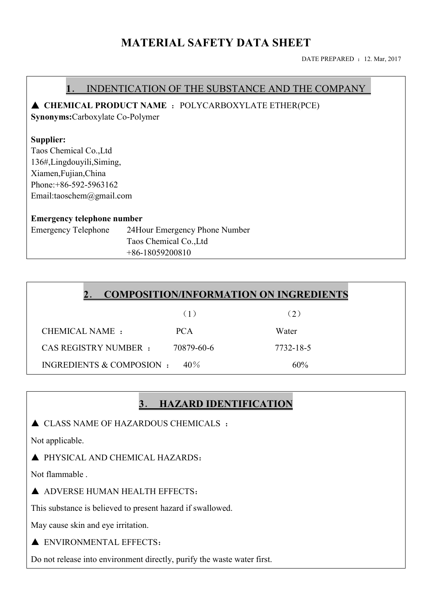# **MATERIAL SAFETY DATA SHEET**

DATE PREPARED : 12. Mar, 2017

# **1**. INDENTICATION OF THE SUBSTANCE AND THE COMPANY ▲ **CHEMICAL PRODUCT NAME** :POLYCARBOXYLATE ETHER(PCE) **Synonyms:**Carboxylate Co-Polymer **Supplier:** Taos Chemical Co.,Ltd 136#,Lingdouyili,Siming, Xiamen,Fujian,China Phone:+86-592-5963162 Email:taoschem@gmail.com **Emergency telephone number** Emergency Telephone 24Hour Emergency Phone Number Taos Chemical Co.,Ltd +86-18059200810

| <b>COMPOSITION/INFORMATION ON INGREDIENTS</b> |            |           |
|-----------------------------------------------|------------|-----------|
|                                               | (1)        | (2)       |
| CHEMICAL NAME :                               | <b>PCA</b> | Water     |
| <b>CAS REGISTRY NUMBER :</b>                  | 70879-60-6 | 7732-18-5 |
| INGREDIENTS & COMPOSION :                     | $40\%$     | 60%       |

# **3**. **HAZARD IDENTIFICATION**

 $\triangle$  CLASS NAME OF HAZARDOUS CHEMICALS :

Not applicable.

▲ PHYSICAL AND CHEMICAL HAZARDS:

Not flammable .

▲ ADVERSE HUMAN HEALTH EFFECTS:

This substance is believed to present hazard if swallowed.

May cause skin and eye irritation.

A ENVIRONMENTAL EFFECTS:

Do not release into environment directly, purify the waste water first.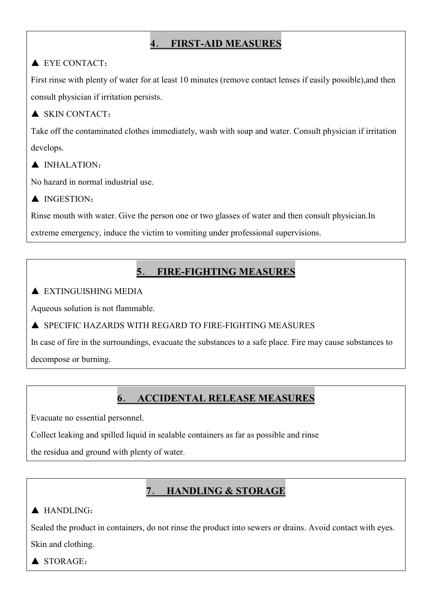# **4**. **FIRST-AID MEASURES**

### ▲ EYE CONTACT:

First rinse with plenty of water for at least 10 minutes (remove contact lenses if easily possible),and then consult physician if irritation persists.

#### ▲ SKIN CONTACT:

Take off the contaminated clothes immediately, wash with soap and water. Consult physician if irritation develops.

#### ▲ INHALATION:

No hazard in normal industrial use.

▲ INGESTION:

Rinse mouth with water. Give the person one or two glasses of water and then consult physician.In

extreme emergency, induce the victim to vomiting under professional supervisions.

# **5**. **FIRE-FIGHTING MEASURES**

#### $\blacktriangle$  EXTINGUISHING MEDIA

Aqueous solution is not flammable.

▲ SPECIFIC HAZARDS WITH REGARD TO FIRE-FIGHTING MEASURES

In case of fire in the surroundings, evacuate the substances to a safe place. Fire may cause substances to decompose or burning.

## **6**. **ACCIDENTAL RELEASE MEASURES**

Evacuate no essential personnel.

Collect leaking and spilled liquid in sealable containers as far as possible and rinse

the residua and ground with plenty of water.

## **7**. **HANDLING & STORAGE**

#### ▲ HANDLING:

Sealed the product in containers, do not rinse the product into sewers or drains. Avoid contact with eyes.

Skin and clothing.

▲ STORAGE: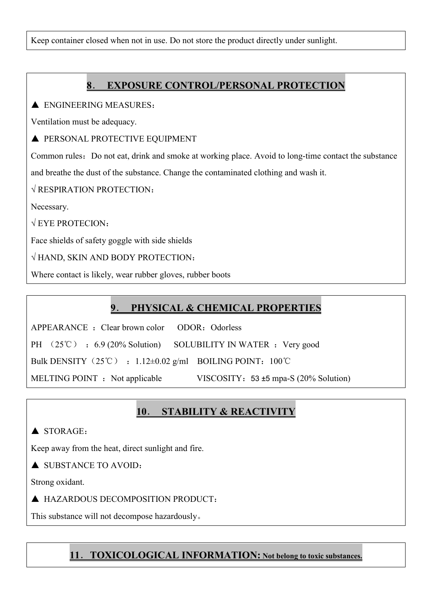Keep container closed when not in use. Do not store the product directly under sunlight.

## **8**. **EXPOSURE CONTROL/PERSONAL PROTECTION**

A ENGINEERING MEASURES:

Ventilation must be adequacy.

 $\triangle$  PERSONAL PROTECTIVE EQUIPMENT

Common rules: Do not eat, drink and smoke at working place. Avoid to long-time contact the substance and breathe the dust of the substance. Change the contaminated clothing and wash it.

√ RESPIRATION PROTECTION:

Necessary.

 $\sqrt{EY}E$  PROTECION:

Face shields of safety goggle with side shields

√ HAND, SKIN AND BODY PROTECTION:

Where contact is likely, wear rubber gloves, rubber boots

# **9**. **PHYSICAL & CHEMICAL PROPERTIES**

APPEARANCE : Clear brown color ODOR: Odorless

PH  $(25^{\circ}\text{C})$  : 6.9 (20% Solution) SOLUBILITY IN WATER : Very good

Bulk DENSITY  $(25^{\circ}\text{C})$  : 1.12±0.02 g/ml BOILING POINT: 100°C

MELTING POINT : Not applicable VISCOSITY: 53 ±5 mpa-S (20% Solution)

# **10**. **STABILITY & REACTIVITY**

 $\triangle$  STORAGE:

Keep away from the heat, direct sunlight and fire.

▲ SUBSTANCE TO AVOID:

Strong oxidant.

▲ HAZARDOUS DECOMPOSITION PRODUCT:

This substance will not decompose hazardously。

### **11**.**TOXICOLOGICAL INFORMATION: Not belong to toxic substances.**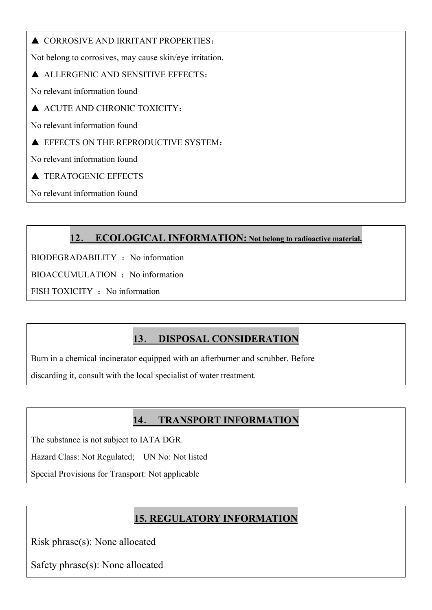▲ CORROSIVE AND IRRITANT PROPERTIES:

Not belong to corrosives, may cause skin/eye irritation.

▲ ALLERGENIC AND SENSITIVE EFFECTS:

No relevant information found

▲ ACUTE AND CHRONIC TOXICITY:

No relevant information found

**A EFFECTS ON THE REPRODUCTIVE SYSTEM:** 

No relevant information found

▲ TERATOGENIC EFFECTS

No relevant information found

## **12**. **ECOLOGICAL INFORMATION: Not belong to radioactive material.**

BIODEGRADABILITY : No information

BIOACCUMULATION : No information

FISH TOXICITY : No information

# **13**. **DISPOSAL CONSIDERATION**

Burn in a chemical incinerator equipped with an afterburner and scrubber. Before

discarding it, consult with the local specialist of water treatment.

### **14**. **TRANSPORT INFORMATION**

The substance is not subject to IATA DGR.

Hazard Class: Not Regulated; UN No: Not listed

Special Provisions for Transport: Not applicable

# **15. REGULATORY INFORMATION**

Risk phrase(s): None allocated

Safety phrase(s): None allocated